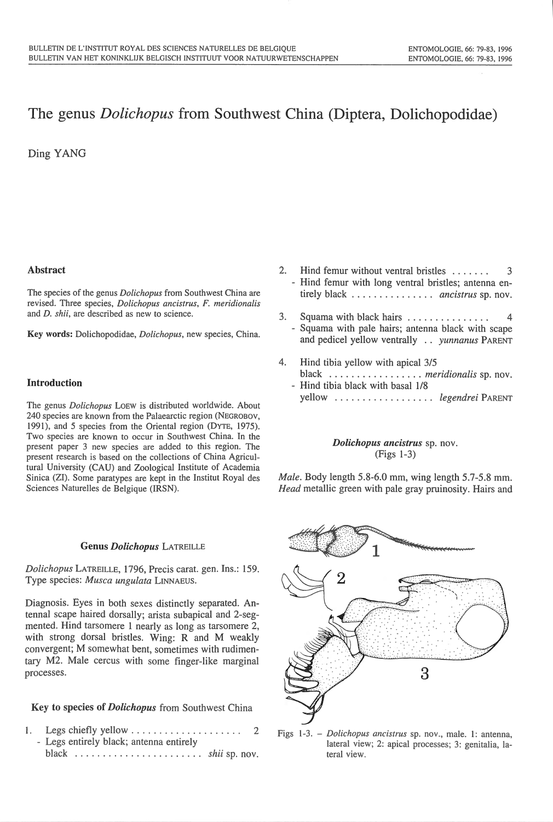# The genus *Dolichopus* from Southwest China (Diptera, Dolichopodidae)

Ding YANG

# Abstract

The species of the genus *Dolichopus* from Southwest China are revised. Three species, *Dolichopus ancistrus*, *F. meridionalis* and *D. shii,* are described as new to science.

Key words: Dolichopodidae, *Dolichopus,* new species, China.

# Introduction

The genus *Dolichopus* LOEW is distributed worldwide. About 240 species are known from the Palaearctic region (NEGROBOV, 1991), and 5 species from the Oriental region (DYTE, 1975). Two species are known to occur in Southwest China. In the present paper 3 new species are added to this region. The present research is based on the collections of China Agricultural University (CAU) and Zoological Institute of Academia Sinica (ZI). Some paratypes are kept in the Institut Royal de<sup>s</sup> Sciences Naturelles de Belgique (IRSN).

#### Genus *Dolichopus* LATREILLE

*Dolichopus* LATREILLE, 1796, Precis carat. gen. Ins.: 159. Type <sup>s</sup>pecies: *Musca ungulata* LINNAEUS.

Diagnosis. Eyes in both sexes distinctly separated. Antenna! scape haired dorsally; arista subapical and 2-segmented. Hind tarsomere 1 nearly as long as tarsomere 2, with strong dorsal bristles. Wing: R and M weakly convergent; M somewhat bent, sometimes with rudimentary M2. Male cercus with some finger-like marginal processes.

Key to species of *Dolichopus* from Southwest China

1. Legs chiefly ye llow . . . . . . . . . . . . . . . . . . . . 2 - Legs entirely black; antenna entirely black . . . . . . . . . . . . . . . . . . . . . . . *shii* sp. nov.

- 2. Hind femur without ventral bristles ....... 3 - Hind femur with long ventral bristles; antenna entirely black . . . . . . . . . . . . . . . *ancistrus* sp. nov.
- 3. Squama with black hairs . . . . . . . . . . . . . . 4 Squama with pale hairs; antenna black with scape and pedicel yellow ventrally . . *yunnanus* PARENT
- 4. Hind tibia yellow with apical 3/5 black .. ... .. . .. . .. .. . . *meridionalis* sp. nov. - Hind tibia black with basal 1/8 yellow . . . . . . . . . . . . . . . . . . *legendrei* PARENT

# *Dolichopus ancistrus* <sup>s</sup>p. nov. (Figs 1-3)

*Male.* Body length 5.8-6.0 mm, wing length 5.7-5.8 mm. *Head* metallic green with pale gray pruinosity. Hairs and



Figs l-3. - *Dolichopus ancistrus* sp. nov., male. 1: antenna, lateral view; 2: apical processes; 3: genitalia, lateral view.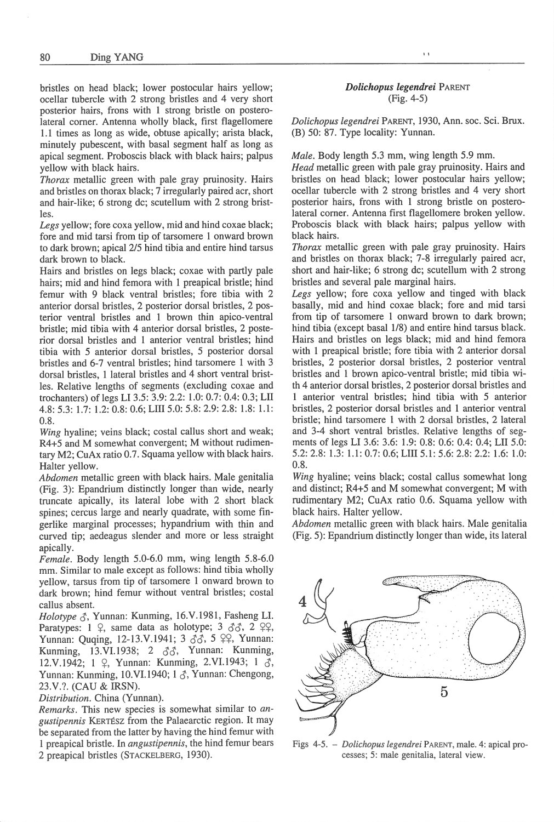bristles on head black; lower postocular hairs yellow; ocellar tubercle with 2 strong bristles and 4 very short posterior hairs, frons with 1 strong bristle on posterolateral corner. Antenna wholly black, first flagellomere 1.1 times as long as wide, obtuse apically; arista black, minutely pubescent, with basal segment half as long as apical segment. Proboscis black with black hairs; palpus yellow with black hairs.

*Thorax* metallic green with pale gray pruinosity. Hair<sup>s</sup> and bristles on thorax black; 7 irregularly paired acr, short and hair-like; 6 strong de; scutellum with 2 strong bristles.

*Legs* yellow; fore coxa yellow, mid and hind coxae black; fore and mid tarsi from tip of tarsomere I onward brown to dark brown; apical 2/5 hind tibia and entire hind tarsus dark brown to black.

Hairs and bristles on legs black; coxae with partly pale hairs; mid and hind femora with 1 preapical bristle; hind femur with 9 black ventral bristles; fore tibia with 2 anterior dorsal bristles, 2 posterior dorsal bristles, 2 posterior ventral bristles and 1 brown thin apico-ventral bristle; mid tibia with 4 anterior dorsal bristles, 2 posterior dorsal bristles and 1 anterior ventral bristles; hind tibia with 5 anterior dorsal bristles, 5 posterior dorsal bristles and 6-7 ventral bristles; hind tarsomere 1 with 3 dorsal bristles, 1 lateral bristles and 4 short ventral bristles. Relative lengths of segments (excluding coxae and trochanters) of legs Ll 3.5: 3.9: 2.2: 1.0: 0.7: 0.4: 0.3; LII 4.8: 5.3: 1.7: 1.2: 0.8 : 0.6; LIII 5.0: 5.8: 2.9: 2.8: 1.8: 1.1 : 0.8.

*Wing* hyaline; veins black; costal callus short and weak; R4+5 and M somewhat convergent; M without rudimentary M2; CuAx ratio 0.7. Squama yellow with black hairs. Halter yellow.

*Abdomen* metallic green with black hairs. Male genitalia (Fig. 3): Epandrium distinctly longer than wide, nearly truncate apically, its lateral lobe with 2 short black spines; cercus large and nearly quadrate, with some fingerlike marginal processes; hypandrium with thin and curved tip; aedeagus slender and more or less straight apically.

*Female.* Body leng<sup>t</sup>h 5.0-6.0 mm, wing length 5.8-6.0 mm. Similar to male except as follows: hind tibia wholly yellow, tarsus from tip of tarsomere 1 onward brown to dark brown; hind femur without ventral bristles; costal callus absent.

*Holotype*  $\zeta$ *, Yunnan: Kunming, 16.V.1981, Fasheng LI.* Paratypes:  $1 \nvert 2$ , same data as holotype;  $3 \nvert 3 \nvert 3 \nvert 3$ ,  $2 \nvert 2 \nvert 2$ , Yunnan: Quqing, 12-13.V.1941; 3  $\delta\delta$ , 5  $\varphi\varphi$ , Yunnan: Kunming, 13.VI. 1938; 2 *d"J,* Yunnan: Kunming, 12.V.1942; 1  $\varphi$ , Yunnan: Kunming, 2.VI.1943; 1  $\zeta$ , Yunnan: Kunming, 10.VI.1940; 1  $\delta$ , Yunnan: Chengong, 23.V.?. (CAU & IRSN).

*Distribution.* China (Yunnan).

*Remarks.* This new species is somewhat similar to *angustipenn.is* KERTESZ from the Palaearctic region. It may be separated from the latter by having the hind femur with 1 preapical bristle. In *angustipennis,* the hind femur bears 2 preapica] bristles (STACKELBERG, 1930).

### *Dolichopus legendrei* PARENT (Fig. 4-5)

I I

*Dolichopus legendrei* PARENT, 1930, Ann. soc. Sci. Brux. (B) 50: 87. Type locality: Yunnan.

*Male.* Body length 5.3 mm, wing length 5.9 mm.

*Head* metaJiic green with pale gray pruinosity. Hairs and bristles on head black; lower postocular hairs yellow; ocellar tubercle with 2 strong bristles and 4 very short posterior hairs, frons with I strong bristle on posterolateral corner. Antenna first flagellomere broken yellow. Proboscis black with black hairs; palpus yellow with black hairs.

*Thorax* metallic green with pale gray pruinosity. Hair<sup>s</sup> and bristles on thorax black; 7-8 irregularly paired acr, short and hair-like; 6 strong de; scutellum with 2 strong bristles and several pale marginal hairs.

*Legs* yellow; fore coxa yellow and tinged with black basally, mid and hind coxae black; fore and mid tarsi from tip of tarsomere 1 onward brown to dark brown; hind tibia (except basal  $1/8$ ) and entire hind tarsus black. Hairs and bristles on legs black; mid and hind femora with I preapical bristle; fore tibia with 2 anterior dorsal bristles, 2 posterior dorsal bristles, 2 posterior ventral bristles and I brown apico-ventral bristle; mid tibia with 4 anterior dorsal bristles, 2 posterior dorsal bristles and 1 anterior ventral bristles; hind tibia with 5 anterior bristles, 2 posterior dorsal bristles and 1 anterior ventral bristle; hind tarsomere 1 with 2 dorsal bristles, 2 lateral and 3-4 short ventral bristles. Relative lengths of segments of legs LI 3.6: 3.6: 1.9: 0.8: 0.6: 0.4: 0.4; LIT 5.0: 5.2:2.8: 1.3: 1.1 : 0.7: 0.6; LIII 5.1:5.6: 2.8: 2.2: 1.6: 1.0: 0.8.

*Wing* hyaline; veins black; costal callus somewhat long and distinct; R4+5 and M somewhat convergent; M with rudimentary M2; CuAx ratio 0.6. Squama yellow with black hairs. Halter yellow.

*Abdomen.* metallic green with black hairs. Male genitalia (Fig. 5): Epandrium distinctly longer than wide, its lateral

5

Figs 4-5. - *Dolichopus legendrei* PARENT, male. 4: apical processes; 5: male genitalia, lateral view.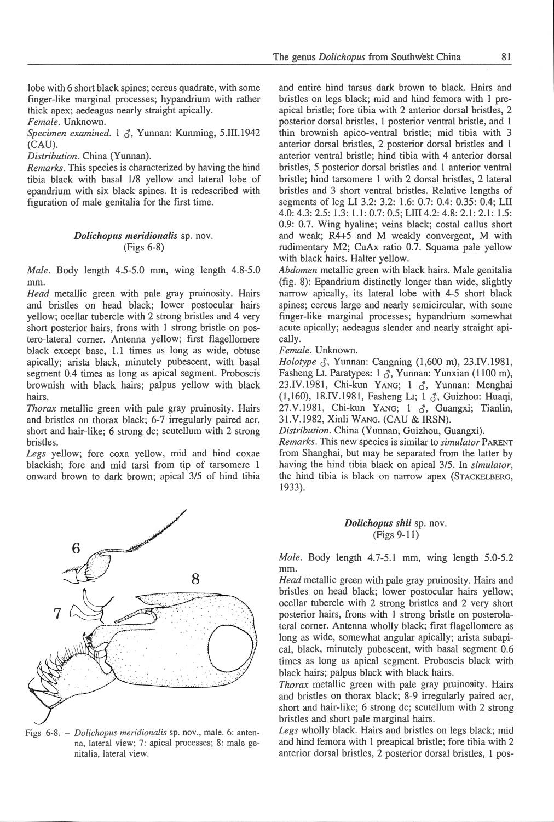lobe with 6 short black spines; cercus quadrate, with some finger-like marginal processes; hypandrium with rather thick apex; aedeagus nearly straight apically.

*Female.* Unknown.

*Specimen examined.* 1  $\delta$ , Yunnan: Kunming, 5.III.1942 (CAU).

*Disti·ibution.* China (Yunnan).

*Remarks.* This species is characterized by having the hind tibia black with basal 118 yellow and lateral lobe of epandrium with six black spines. It is redescribed with figuration of male genitalia for the first time.

### *Dolichopus meridionalis* sp. nov. (Figs 6-8)

*Male.* Body length 4.5-5.0 mm, wing length 4.8-5.0 mm.

*Head* metallic green with pale gray pruinosity. Hairs and bristles on head black; lower postocular hairs yellow; ocellar tubercle with 2 strong bristles and 4 very short posterior hairs, frons with 1 strong bristle on postero-lateral corner. Antenna yellow; first flagellomere black except base, 1.1 times as long as wide, obtuse apically; arista black, minutely pubescent, with basal segment 0.4 times as long as apical segment. Proboscis brownish with black hairs; palpus yellow with black hairs.

*Thorax* metallic green with pale gray pruinosity. Hairs and bristles on thorax black; 6-7 irregularly paired acr, short and hair-like; 6 strong de; scutellum with 2 strong bristles.

*Legs* yellow; fore coxa yellow, mid and hind coxae blackish; fore and mid tarsi from tip of tarsomere 1 onward brown to dark brown; apical 3/5 of hind tibia



Figs 6-8. - *Dolichopus meridionalis* sp. nov., male. 6: antenna, lateral view; 7: apical processes; 8: male genitalia, lateral view.

and entire hind tarsus dark brown to black. Hairs and bristles on legs black; *mid* and hind femora with 1 preapical bristle; fore tibia with 2 anterior dorsal bristles, 2 posterior dorsal bristles, 1 posterior ventral bristle, and 1 thin brownish apico-ventral bristle; mid tibia with 3 anterior dorsal bristles, 2 posterior dorsal bristles and 1 anterior ventral bristle; hind tibia with 4 anterior dorsal bristles, 5 posterior dorsal bristles and 1 anterior ventral bristle; hind tarsomere 1 with 2 dorsal bristles, 2 lateral bristles and 3 short ventral bristles. Relative lengths of segments of leg LI 3.2: 3.2: 1.6: 0.7: 0.4: 0.35: 0.4; LIT 4.0: 4.3: 2.5: 1.3: 1.1: 0.7: 0.5; LIII 4.2: 4.8: 2.1: 2.1: 1.5: 0.9: 0.7. Wing hyaline; veins black; costal callus short and weak; R4+5 and M weakly convergent, M with rudimentary M2; CuAx ratio 0.7. Squama pale yellow with black hairs. Halter yellow.

*Abdomen* metallic green with black hairs. Male genitalia (fig. 8): Epandrium distinctly longer than wide, slightly narrow apically, its lateral lobe with 4-5 short black spines; cercus large and nearly semicircular, with some finger-like marginal processes; hypandrium somewhat acute apically; aedeagus slender and nearly straight apically.

#### *Female.* Unknown.

*Holotype*  $\zeta$ , Yunnan: Cangning (1,600 m), 23.IV.1981, Fasheng LI. Paratypes:  $1 \text{ } \text{\textdegree}$ , Yunnan: Yunxian (1100 m), 23.IV.1981, Chi-kun YANG; 1 3, Yunnan: Menghai (1,160), 18.IV.1981, Fasheng LI; 1 3, Guizhou: Huaqi, 27.V.1981, Chi-kun YANG; 1  $\delta$ , Guangxi; Tianlin, 3l.V.l982, Xinli WANG. (CAU & IRSN).

*Distribution.* China (Yunnan, Guizhou, Guangxi).

*Remarks.* This new species is similar to *simulator* PARENT from Shanghai, but may be separated from the latter by having the hind tibia black on apical 3/5 . In *simulator,*  the hind tibia is black on narrow apex (STACKELBERG, 1933).

# *Dolichopus shii* sp. nov. (Figs 9-11)

*Male.* Body length 4.7-5.1 mm, wing length 5.0-5.2 mm.

*Head* metallic green with pale gray pruinosity. Hairs and bristles on head black; lower postocular hairs yellow; ocellar tubercle with 2 strong bristles and 2 very short posterior hairs, frons with 1 strong bristle on posterolateral corner. Antenna wholly black; first flagellomere as long as wide, somewhat angular apically; arista subapical, black, minutely pubescent, with basal segment 0.6 times as long as apical segment. Proboscis black with black hairs; palpus black with black hairs.

*Thorax* metallic green with pale gray pruinosity. Hairs and bristles on thorax black; 8-9 irregularly paired acr, short and hair-like; 6 strong de; scutellum with 2 strong bristles and short pale marginal hairs.

*Legs* wholly black. Hairs and bristles on legs black; mid and hind femora with 1 preapical bristle; fore tibia with 2 anterior dorsal bristles, 2 posterior dorsal bristles, I pos-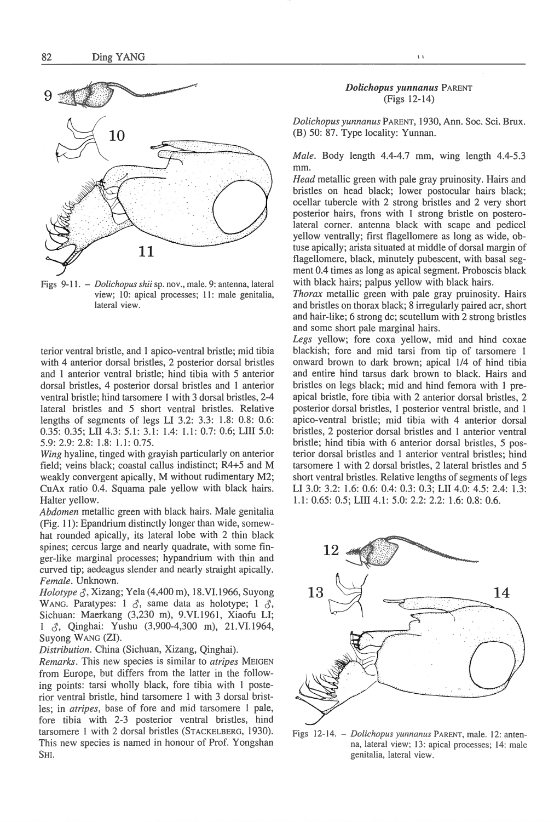

Figs 9-11. - *Dolichopus shii* sp. nov., male. 9: antenna, lateral view; 10: apical processes; 11: male genitalia, lateral view.

terior ventral bristle, and I apico-ventral bristle; mid tibia with 4 anterior dorsal bristles, 2 posterior dorsal bristles and 1 anterior ventral bristle; hind tibia with 5 anterior dorsal bristles, 4 posterior dorsal bristles and 1 anterior ventral bristle; hind tarsomere I with 3 dorsal bristles, 2-4 lateral bristles and 5 short ventral bristles. Relative lengths of segments of legs LI 3.2: 3.3: 1.8: 0.8: 0.6: 0.35: 0.35; LII 4.3: 5.1: 3.1: 1.4: 1.1: 0.7: 0.6; LIII 5.0: 5.9: 2.9: 2.8: 1.8: 1.1: 0.75.

*Wing* hyaline, tinged with grayish particularly on anterior field; veins black; coastal callus indistinct; R4+5 and M weakly convergent apically, M without rudimentary M2; CuAx ratio 0.4. Squama pale yellow with black hairs. Halter yellow.

*Abdomen* metallic green with black hairs. Male genitalia (Fig. 11): Epandrium distinctly longer than wide, somewhat rounded apically, its lateral lobe with 2 thin black spines; cercus large and nearly quadrate, with some finger-like marginal processes; hypandrium with thin and curved tip; aedeagus slender and nearly straight apically. *Female.* Unknown.

*Holotype*  $\zeta$ *, Xizang; Yela (4,400 m), 18.VI.1966, Suyong* WANG. Paratypes:  $1 \text{ } \textcircled{3}$ , same data as holotype;  $1 \text{ } \textcircled{3}$ , Sichuan: Maerkang (3,230 m), 9.VI.1961, Xiaofu LI; 1  $\zeta$ , Qinghai: Yushu (3,900-4,300 m), 21.VI.1964, Suyong WANG (Zl).

*Distribution.* China (Sichuan, Xizang, Qinghai).

*Remarks.* This new species is similar to *atripes* MEIGEN from Europe, but differs from the latter in the following points: tarsi wholly black, fore tibia with 1 posterior ventral bristle, hind tarsomere 1 with 3 dorsal bristles; in *atripes,* base of fore and mid tarsomere l pale, fore tibia with 2-3 posterior ventral bristles, hind tarsomere 1 with 2 dorsal bristles (STACKELBERG, 1930). This new species is named in honour of Prof. Yongshan SHI.

### *Dolichopus yunnanus PARENT* (Figs 12-14)

 $\overline{1}$ 

*Dolichopus yunnanus* PARENT, 1930, Ann. Soc. Sci. Brux. (B) 50: 87. Type locality: Yunnan.

*Male.* Body length 4.4-4.7 mm, wing length 4.4-5.3 mm.

*Head* metallic green with pale gray pruinosity. Hairs and bristles on head black; lower postocular hairs black; ocellar tubercle with 2 strong bristles and 2 very short posterior hairs, frons with 1 strong bristle on posterolateral corner. antenna black with scape and pedicel yellow ventrally; first flagellomere as long as wide, obtuse apically; arista situated at middle of dorsal margin of flagellomere, black, minutely pubescent, with basal segment 0.4 times as long as apical segment. Proboscis black with black hairs; palpus yellow with black hairs.

*Thorax* metallic green with pale gray pruinosity. Hairs and bristles on thorax black; 8 irregularly paired acr, short and hair-like; 6 strong de; scutellum with 2 strong bristles and some short pale marginal hairs.

*Legs* yellow; fore coxa yellow, mid and hind coxae blackish; fore and mid tarsi from tip of tarsomere 1 onward brown to dark brown; apical 1/4 of hind tibia and entire hind tarsus dark brown to black. Hairs and bristles on legs black; mid and hind femora with 1 preapical bristle, fore tibia with 2 anterior dorsal bristles, 2 posterior dorsal bristles, 1 posterior ventral bristle, and 1 apico-ventral bristle; mid tibia with 4 anterior dorsal bristles, 2 posterior dorsal bristles and 1 anterior ventral bristle; hind tibia with 6 anterior dorsal bristles, 5 posterior dorsal bristles and 1 anterior ventral bristles; hind tarsomere 1 with 2 dorsal bristles, 2 lateral bristles and 5 short ventral bristles. Relative lengths of segments of legs LI 3.0: 3.2: 1.6: 0.6: 0.4: 0.3: 0.3; LII 4.0: 4.5: 2.4: 1.3: 1.1: 0.65: 0.5; LIII 4.1: 5.0: 2.2: 2.2: 1.6: 0.8: 0.6.



Figs 12-14. - *Dolichopus yunnanus* PARENT, male. 12: antenna, lateral view; 13: apical processes; 14: male genitalia, lateral view.